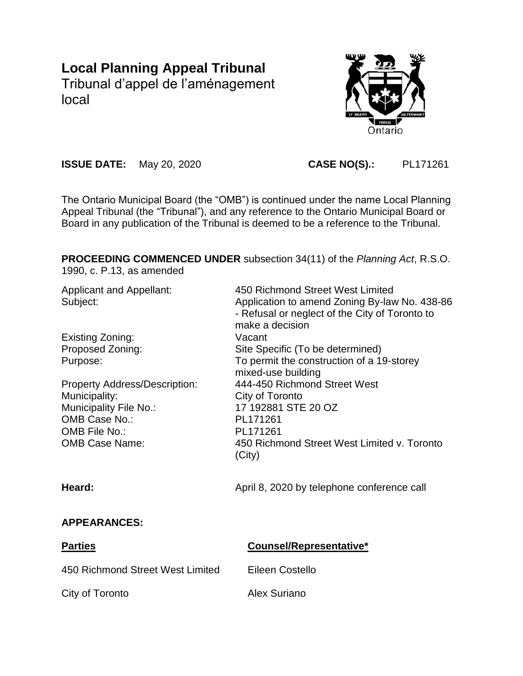# **Local Planning Appeal Tribunal** Tribunal d'appel de l'aménagement local

Ontario

**ISSUE DATE:** May 20, 2020 **CASE NO(S).:** PL171261

The Ontario Municipal Board (the "OMB") is continued under the name Local Planning Appeal Tribunal (the "Tribunal"), and any reference to the Ontario Municipal Board or Board in any publication of the Tribunal is deemed to be a reference to the Tribunal.

**PROCEEDING COMMENCED UNDER** subsection 34(11) of the *Planning Act*, R.S.O.

1990, c. P.13, as amended

| <b>Applicant and Appellant:</b><br>Subject: | 450 Richmond Street West Limited<br>Application to amend Zoning By-law No. 438-86<br>- Refusal or neglect of the City of Toronto to<br>make a decision |
|---------------------------------------------|--------------------------------------------------------------------------------------------------------------------------------------------------------|
| Existing Zoning:                            | Vacant                                                                                                                                                 |
| Proposed Zoning:                            | Site Specific (To be determined)                                                                                                                       |
| Purpose:                                    | To permit the construction of a 19-storey                                                                                                              |
|                                             | mixed-use building                                                                                                                                     |
| <b>Property Address/Description:</b>        | 444-450 Richmond Street West                                                                                                                           |
| Municipality:                               | City of Toronto                                                                                                                                        |
| Municipality File No.:                      | 17 192881 STE 20 OZ                                                                                                                                    |
| OMB Case No.:                               | PL171261                                                                                                                                               |
| OMB File No.:                               | PL171261                                                                                                                                               |
| <b>OMB Case Name:</b>                       | 450 Richmond Street West Limited v. Toronto<br>(City)                                                                                                  |
| Heard:                                      | April 8, 2020 by telephone conference call                                                                                                             |
| <b>APPEARANCES:</b>                         |                                                                                                                                                        |

| <b>Parties</b>                   | Counsel/Representative* |
|----------------------------------|-------------------------|
| 450 Richmond Street West Limited | Eileen Costello         |
| City of Toronto                  | Alex Suriano            |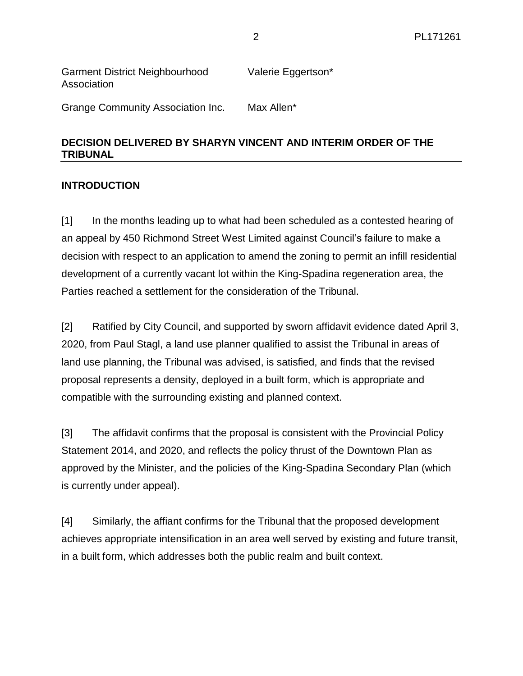| <b>Garment District Neighbourhood</b> | Valerie Eggertson* |
|---------------------------------------|--------------------|
| Association                           |                    |
|                                       |                    |

# Grange Community Association Inc. Max Allen\*

#### **DECISION DELIVERED BY SHARYN VINCENT AND INTERIM ORDER OF THE TRIBUNAL**

#### **INTRODUCTION**

[1] In the months leading up to what had been scheduled as a contested hearing of an appeal by 450 Richmond Street West Limited against Council's failure to make a decision with respect to an application to amend the zoning to permit an infill residential development of a currently vacant lot within the King-Spadina regeneration area, the Parties reached a settlement for the consideration of the Tribunal.

[2] Ratified by City Council, and supported by sworn affidavit evidence dated April 3, 2020, from Paul Stagl, a land use planner qualified to assist the Tribunal in areas of land use planning, the Tribunal was advised, is satisfied, and finds that the revised proposal represents a density, deployed in a built form, which is appropriate and compatible with the surrounding existing and planned context.

[3] The affidavit confirms that the proposal is consistent with the Provincial Policy Statement 2014, and 2020, and reflects the policy thrust of the Downtown Plan as approved by the Minister, and the policies of the King-Spadina Secondary Plan (which is currently under appeal).

[4] Similarly, the affiant confirms for the Tribunal that the proposed development achieves appropriate intensification in an area well served by existing and future transit, in a built form, which addresses both the public realm and built context.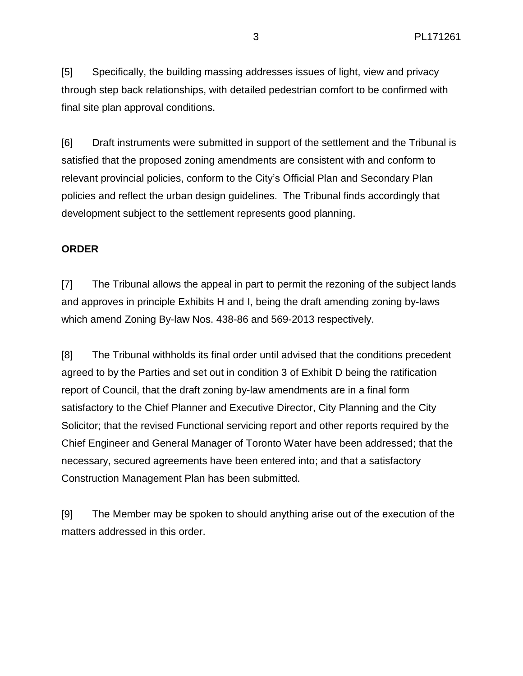[5] Specifically, the building massing addresses issues of light, view and privacy through step back relationships, with detailed pedestrian comfort to be confirmed with final site plan approval conditions.

[6] Draft instruments were submitted in support of the settlement and the Tribunal is satisfied that the proposed zoning amendments are consistent with and conform to relevant provincial policies, conform to the City's Official Plan and Secondary Plan policies and reflect the urban design guidelines. The Tribunal finds accordingly that development subject to the settlement represents good planning.

### **ORDER**

[7] The Tribunal allows the appeal in part to permit the rezoning of the subject lands and approves in principle Exhibits H and I, being the draft amending zoning by-laws which amend Zoning By-law Nos. 438-86 and 569-2013 respectively.

[8] The Tribunal withholds its final order until advised that the conditions precedent agreed to by the Parties and set out in condition 3 of Exhibit D being the ratification report of Council, that the draft zoning by-law amendments are in a final form satisfactory to the Chief Planner and Executive Director, City Planning and the City Solicitor; that the revised Functional servicing report and other reports required by the Chief Engineer and General Manager of Toronto Water have been addressed; that the necessary, secured agreements have been entered into; and that a satisfactory Construction Management Plan has been submitted.

[9] The Member may be spoken to should anything arise out of the execution of the matters addressed in this order.